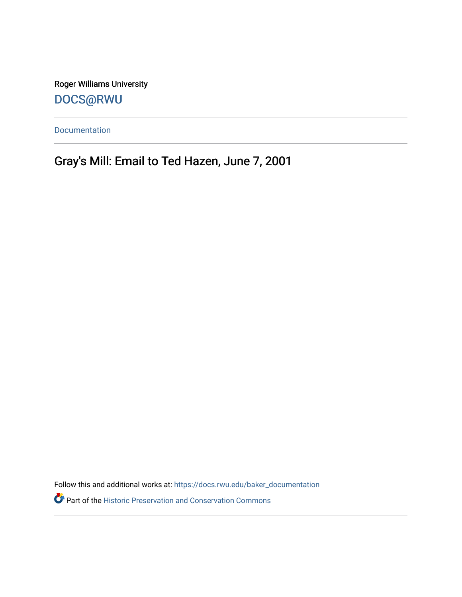Roger Williams University [DOCS@RWU](https://docs.rwu.edu/)

[Documentation](https://docs.rwu.edu/baker_documentation) 

Gray's Mill: Email to Ted Hazen, June 7, 2001

Follow this and additional works at: [https://docs.rwu.edu/baker\\_documentation](https://docs.rwu.edu/baker_documentation?utm_source=docs.rwu.edu%2Fbaker_documentation%2F61&utm_medium=PDF&utm_campaign=PDFCoverPages) 

Part of the [Historic Preservation and Conservation Commons](http://network.bepress.com/hgg/discipline/781?utm_source=docs.rwu.edu%2Fbaker_documentation%2F61&utm_medium=PDF&utm_campaign=PDFCoverPages)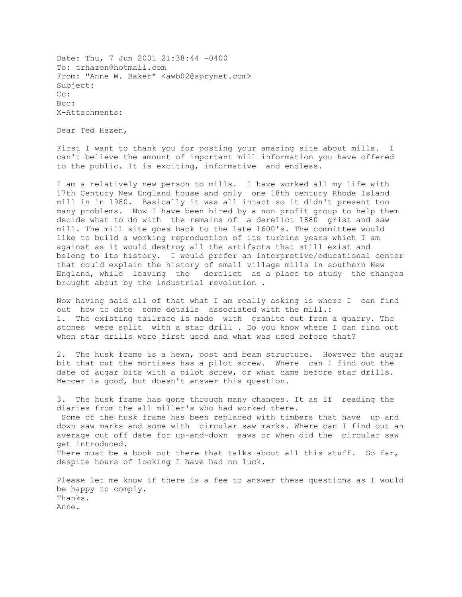Date: Thu, 7 Jun 2001 21:38:44 -0400 To: trhazen@hotmail.com From: "Anne W. Baker" <awb02@sprynet.com> Subject: Cc: Bcc: X-Attachments:

Dear Ted Hazen,

First I want to thank you for posting your amazing site about mills. I can't believe the amount of important mill information you have offered to the public. It is exciting, informative and endless.

I am a relatively new person to mills. I have worked all my life with 17th Century New England house and only one 18th century Rhode Island mill in in 1980. Basically it was all intact so it didn't present too many problems. Now I have been hired by a non profit group to help them decide what to do with the remains of a derelict 1880 grist and saw mill. The mill site goes back to the late 1600's. The committee would like to build a working reproduction of its turbine years which I am against as it would destroy all the artifacts that still exist and belong to its history. I would prefer an interpretive/educational center that could explain the history of small village mills in southern New England, while leaving the derelict as a place to study the changes brought about by the industrial revolution .

Now having said all of that what I am really asking is where I can find out how to date some details associated with the mill.: 1. The existing tailrace is made with granite cut from a quarry. The stones were split with a star drill . Do you know where I can find out when star drills were first used and what was used before that?

2. The husk frame is a hewn, post and beam structure. However the augar bit that cut the mortises has a pilot screw. Where can I find out the date of augar bits with a pilot screw, or what came before star drills. Mercer is good, but doesn't answer this question.

3. The husk frame has gone through many changes. It as if reading the diaries from the all miller's who had worked there. Some of the husk frame has been replaced with timbers that have up and down saw marks and some with circular saw marks. Where can I find out an average cut off date for up-and-down saws or when did the circular saw get introduced. There must be a book out there that talks about all this stuff. So far, despite hours of looking I have had no luck.

Please let me know if there is a fee to answer these questions as I would be happy to comply. Thanks. Anne.